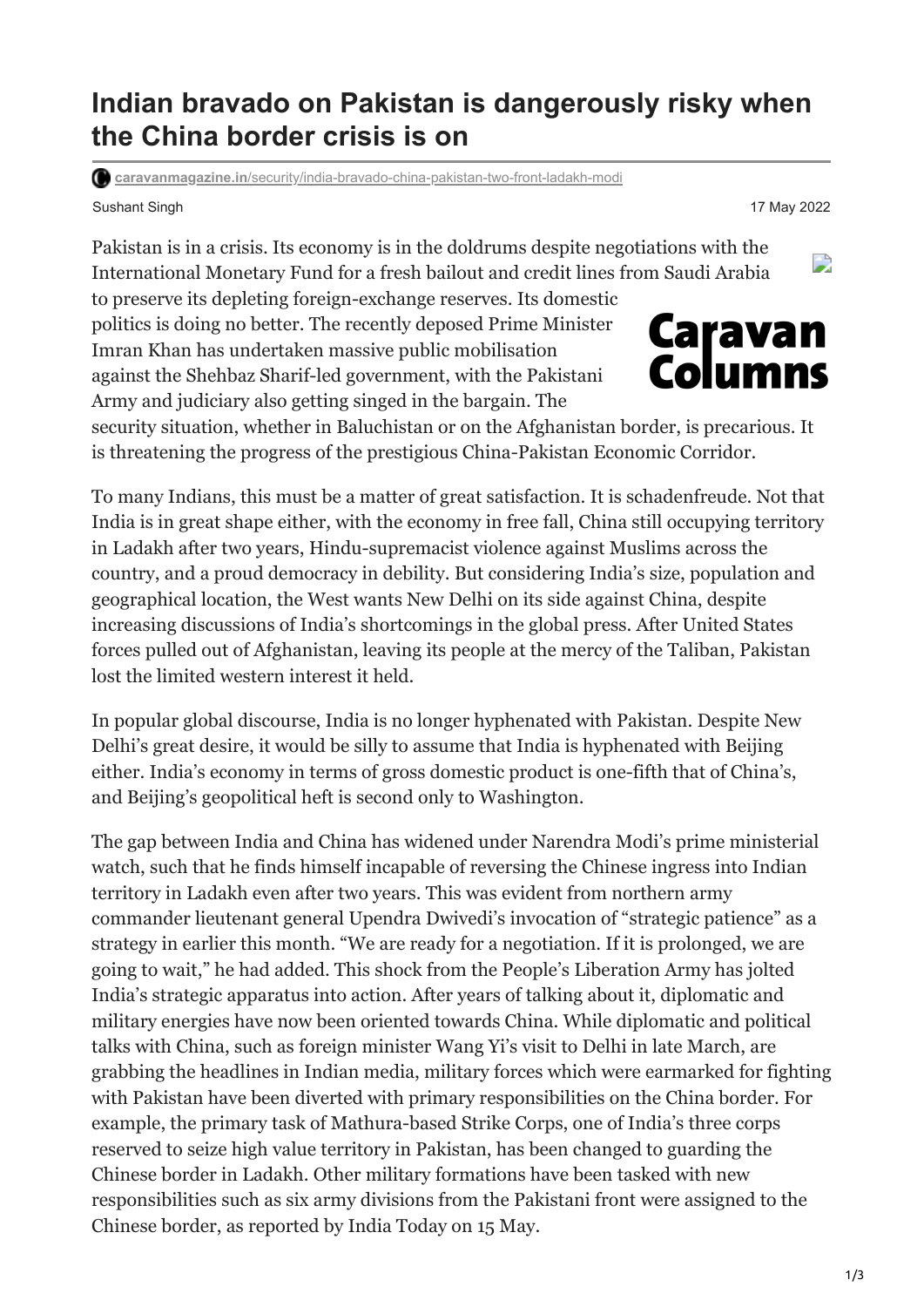## **Indian bravado on Pakistan is dangerously risky when the China border crisis is on**

**caravanmagazine.in**[/security/india-bravado-china-pakistan-two-front-ladakh-modi](https://caravanmagazine.in/security/india-bravado-china-pakistan-two-front-ladakh-modi)

Sushant Singh 17 May 2022

Pakistan is in a crisis. Its economy is in the doldrums despite negotiations with the International Monetary Fund for a fresh bailout and credit lines from Saudi Arabia

to preserve its depleting foreign-exchange reserves. Its domestic politics is doing no better. The recently deposed Prime Minister Imran Khan has undertaken massive public mobilisation against the Shehbaz Sharif-led government, with the Pakistani Army and judiciary also getting singed in the bargain. The

security situation, whether in Baluchistan or on the Afghanistan border, is precarious. It is threatening the progress of the prestigious China-Pakistan Economic Corridor.

To many Indians, this must be a matter of great satisfaction. It is schadenfreude. Not that India is in great shape either, with the economy in free fall, China still occupying territory in Ladakh after two years, Hindu-supremacist violence against Muslims across the country, and a proud democracy in debility. But considering India's size, population and geographical location, the West wants New Delhi on its side against China, despite increasing discussions of India's shortcomings in the global press. After United States forces pulled out of Afghanistan, leaving its people at the mercy of the Taliban, Pakistan lost the limited western interest it held.

In popular global discourse, India is no longer hyphenated with Pakistan. Despite New Delhi's great desire, it would be silly to assume that India is hyphenated with Beijing either. India's economy in terms of gross domestic product is one-fifth that of China's, and Beijing's geopolitical heft is second only to Washington.

The gap between India and China has widened under Narendra Modi's prime ministerial watch, such that he finds himself incapable of reversing the Chinese ingress into Indian territory in Ladakh even after two years. This was evident from northern army commander lieutenant general Upendra Dwivedi's invocation of "strategic patience" as a strategy in earlier this month. "We are ready for a negotiation. If it is prolonged, we are going to wait," he had added. This shock from the People's Liberation Army has jolted India's strategic apparatus into action. After years of talking about it, diplomatic and military energies have now been oriented towards China. While diplomatic and political talks with China, such as foreign minister Wang Yi's visit to Delhi in late March, are grabbing the headlines in Indian media, military forces which were earmarked for fighting with Pakistan have been diverted with primary responsibilities on the China border. For example, the primary task of Mathura-based Strike Corps, one of India's three corps reserved to seize high value territory in Pakistan, has been changed to guarding the Chinese border in Ladakh. Other military formations have been tasked with new responsibilities such as six army divisions from the Pakistani front were assigned to the Chinese border, as reported by India Today on 15 May.

D

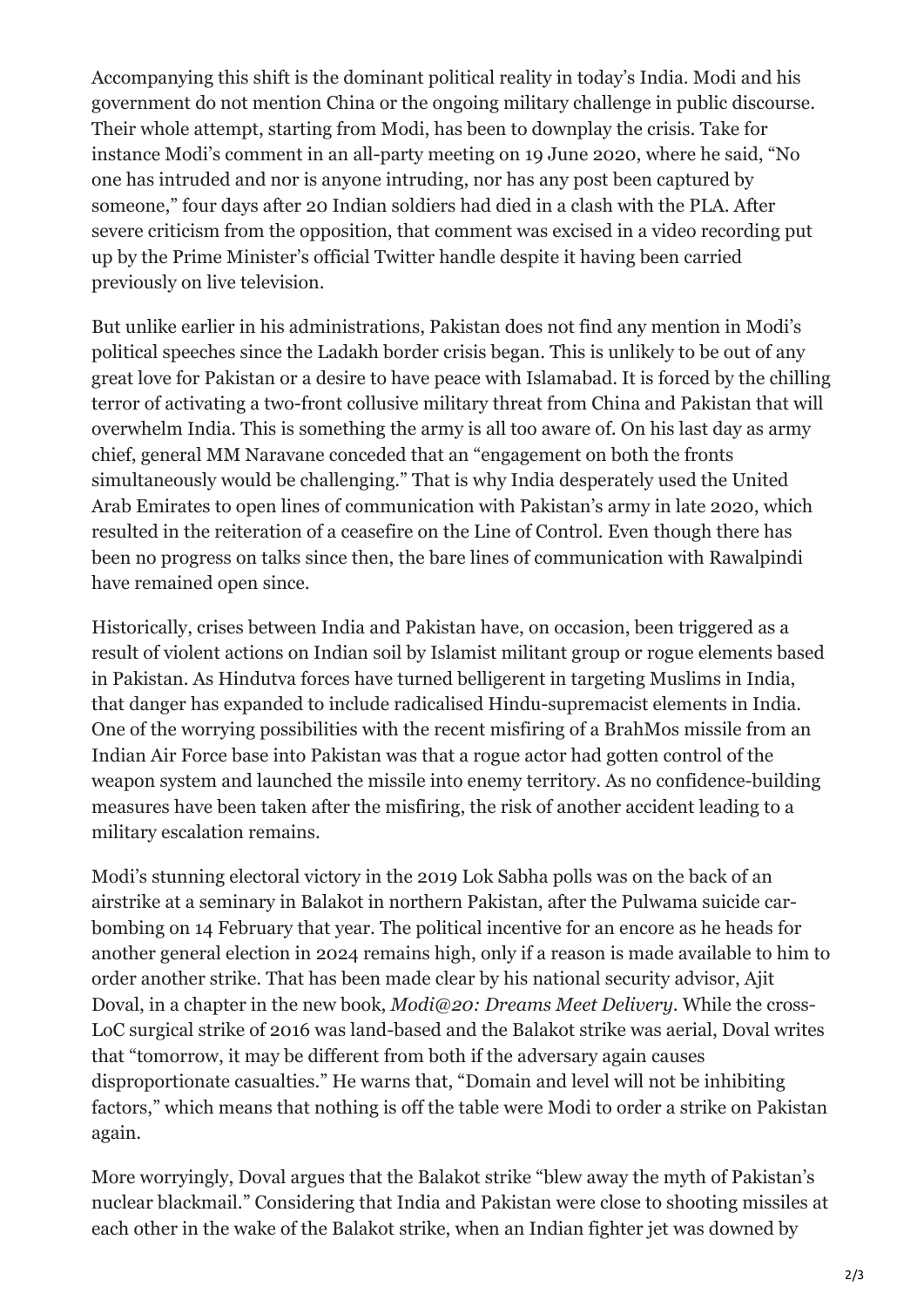Accompanying this shift is the dominant political reality in today's India. Modi and his government do not mention China or the ongoing military challenge in public discourse. Their whole attempt, starting from Modi, has been to downplay the crisis. Take for instance Modi's comment in an all-party meeting on 19 June 2020, where he said, "No one has intruded and nor is anyone intruding, nor has any post been captured by someone," four days after 20 Indian soldiers had died in a clash with the PLA. After severe criticism from the opposition, that comment was excised in a video recording put up by the Prime Minister's official Twitter handle despite it having been carried previously on live television.

But unlike earlier in his administrations, Pakistan does not find any mention in Modi's political speeches since the Ladakh border crisis began. This is unlikely to be out of any great love for Pakistan or a desire to have peace with Islamabad. It is forced by the chilling terror of activating a two-front collusive military threat from China and Pakistan that will overwhelm India. This is something the army is all too aware of. On his last day as army chief, general MM Naravane conceded that an "engagement on both the fronts simultaneously would be challenging." That is why India desperately used the United Arab Emirates to open lines of communication with Pakistan's army in late 2020, which resulted in the reiteration of a ceasefire on the Line of Control. Even though there has been no progress on talks since then, the bare lines of communication with Rawalpindi have remained open since.

Historically, crises between India and Pakistan have, on occasion, been triggered as a result of violent actions on Indian soil by Islamist militant group or rogue elements based in Pakistan. As Hindutva forces have turned belligerent in targeting Muslims in India, that danger has expanded to include radicalised Hindu-supremacist elements in India. One of the worrying possibilities with the recent misfiring of a BrahMos missile from an Indian Air Force base into Pakistan was that a rogue actor had gotten control of the weapon system and launched the missile into enemy territory. As no confidence-building measures have been taken after the misfiring, the risk of another accident leading to a military escalation remains.

Modi's stunning electoral victory in the 2019 Lok Sabha polls was on the back of an airstrike at a seminary in Balakot in northern Pakistan, after the Pulwama suicide carbombing on 14 February that year. The political incentive for an encore as he heads for another general election in 2024 remains high, only if a reason is made available to him to order another strike. That has been made clear by his national security advisor, Ajit Doval, in a chapter in the new book, *Modi@20: Dreams Meet Delivery*. While the cross-LoC surgical strike of 2016 was land-based and the Balakot strike was aerial, Doval writes that "tomorrow, it may be different from both if the adversary again causes disproportionate casualties." He warns that, "Domain and level will not be inhibiting factors," which means that nothing is off the table were Modi to order a strike on Pakistan again.

More worryingly, Doval argues that the Balakot strike "blew away the myth of Pakistan's nuclear blackmail." Considering that India and Pakistan were close to shooting missiles at each other in the wake of the Balakot strike, when an Indian fighter jet was downed by